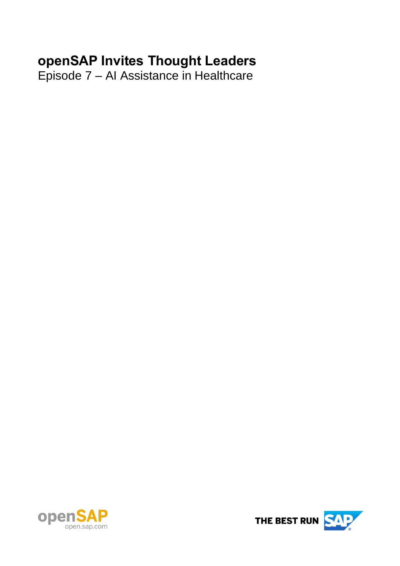# **openSAP Invites Thought Leaders**

Episode 7 – AI Assistance in Healthcare



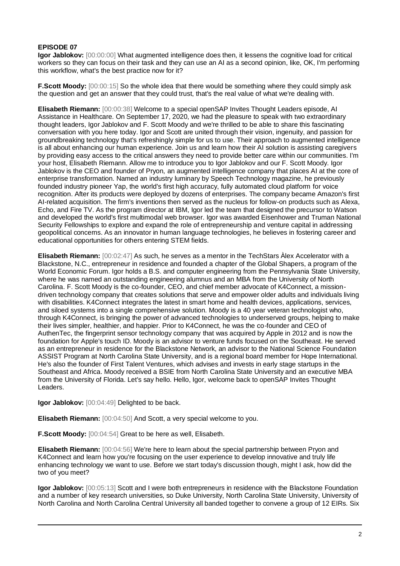## **EPISODE 07**

**Igor Jablokov:** [00:00:00] What augmented intelligence does then, it lessens the cognitive load for critical workers so they can focus on their task and they can use an AI as a second opinion, like, OK, I'm performing this workflow, what's the best practice now for it?

**F.Scott Moody:** [00:00:15] So the whole idea that there would be something where they could simply ask the question and get an answer that they could trust, that's the real value of what we're dealing with.

**Elisabeth Riemann:** [00:00:38] Welcome to a special openSAP Invites Thought Leaders episode, AI Assistance in Healthcare. On September 17, 2020, we had the pleasure to speak with two extraordinary thought leaders, Igor Jablokov and F. Scott Moody and we're thrilled to be able to share this fascinating conversation with you here today. Igor and Scott are united through their vision, ingenuity, and passion for groundbreaking technology that's refreshingly simple for us to use. Their approach to augmented intelligence is all about enhancing our human experience. Join us and learn how their AI solution is assisting caregivers by providing easy access to the critical answers they need to provide better care within our communities. I'm your host, Elisabeth Riemann. Allow me to introduce you to Igor Jablokov and our F. Scott Moody. Igor Jablokov is the CEO and founder of Pryon, an augmented intelligence company that places AI at the core of enterprise transformation. Named an industry luminary by Speech Technology magazine, he previously founded industry pioneer Yap, the world's first high accuracy, fully automated cloud platform for voice recognition. After its products were deployed by dozens of enterprises. The company became Amazon's first AI-related acquisition. The firm's inventions then served as the nucleus for follow-on products such as Alexa, Echo, and Fire TV. As the program director at IBM, Igor led the team that designed the precursor to Watson and developed the world's first multimodal web browser. Igor was awarded Eisenhower and Truman National Security Fellowships to explore and expand the role of entrepreneurship and venture capital in addressing geopolitical concerns. As an innovator in human language technologies, he believes in fostering career and educational opportunities for others entering STEM fields.

**Elisabeth Riemann:** [00:02:47] As such, he serves as a mentor in the TechStars Àlex Accelerator with a Blackstone, N.C., entrepreneur in residence and founded a chapter of the Global Shapers, a program of the World Economic Forum. Igor holds a B.S. and computer engineering from the Pennsylvania State University, where he was named an outstanding engineering alumnus and an MBA from the University of North Carolina. F. Scott Moody is the co-founder, CEO, and chief member advocate of K4Connect, a missiondriven technology company that creates solutions that serve and empower older adults and individuals living with disabilities. K4Connect integrates the latest in smart home and health devices, applications, services, and siloed systems into a single comprehensive solution. Moody is a 40 year veteran technologist who, through K4Connect, is bringing the power of advanced technologies to underserved groups, helping to make their lives simpler, healthier, and happier. Prior to K4Connect, he was the co-founder and CEO of AuthenTec, the fingerprint sensor technology company that was acquired by Apple in 2012 and is now the foundation for Apple's touch ID. Moody is an advisor to venture funds focused on the Southeast. He served as an entrepreneur in residence for the Blackstone Network, an advisor to the National Science Foundation ASSIST Program at North Carolina State University, and is a regional board member for Hope International. He's also the founder of First Talent Ventures, which advises and invests in early stage startups in the Southeast and Africa. Moody received a BSIE from North Carolina State University and an executive MBA from the University of Florida. Let's say hello. Hello, Igor, welcome back to openSAP Invites Thought Leaders.

**Igor Jablokov:** [00:04:49] Delighted to be back.

**Elisabeth Riemann:** [00:04:50] And Scott, a very special welcome to you.

**F.Scott Moody:** [00:04:54] Great to be here as well, Elisabeth.

**Elisabeth Riemann:** [00:04:56] We're here to learn about the special partnership between Pryon and K4Connect and learn how you're focusing on the user experience to develop innovative and truly life enhancing technology we want to use. Before we start today's discussion though, might I ask, how did the two of you meet?

**Igor Jablokov:** [00:05:13] Scott and I were both entrepreneurs in residence with the Blackstone Foundation and a number of key research universities, so Duke University, North Carolina State University, University of North Carolina and North Carolina Central University all banded together to convene a group of 12 EIRs. Six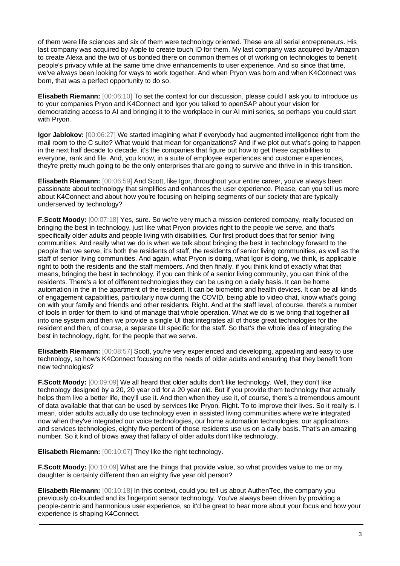of them were life sciences and six of them were technology oriented. These are all serial entrepreneurs. His last company was acquired by Apple to create touch ID for them. My last company was acquired by Amazon to create Alexa and the two of us bonded there on common themes of of working on technologies to benefit people's privacy while at the same time drive enhancements to user experience. And so since that time, we've always been looking for ways to work together. And when Pryon was born and when K4Connect was born, that was a perfect opportunity to do so.

**Elisabeth Riemann:** [00:06:10] To set the context for our discussion, please could I ask you to introduce us to your companies Pryon and K4Connect and Igor you talked to openSAP about your vision for democratizing access to AI and bringing it to the workplace in our AI mini series, so perhaps you could start with Pryon.

**Igor Jablokov:**  $[00:06:27]$  We started imagining what if everybody had augmented intelligence right from the mail room to the C suite? What would that mean for organizations? And if we plot out what's going to happen in the next half decade to decade, it's the companies that figure out how to get these capabilities to everyone, rank and file. And, you know, in a suite of employee experiences and customer experiences, they're pretty much going to be the only enterprises that are going to survive and thrive in in this transition.

**Elisabeth Riemann:** [00:06:59] And Scott, like Igor, throughout your entire career, you've always been passionate about technology that simplifies and enhances the user experience. Please, can you tell us more about K4Connect and about how you're focusing on helping segments of our society that are typically underserved by technology?

**F.Scott Moody:** [00:07:18] Yes, sure. So we're very much a mission-centered company, really focused on bringing the best in technology, just like what Pryon provides right to the people we serve, and that's specifically older adults and people living with disabilities. Our first product does that for senior living communities. And really what we do is when we talk about bringing the best in technology forward to the people that we serve, it's both the residents of staff, the residents of senior living communities, as well as the staff of senior living communities. And again, what Pryon is doing, what Igor is doing, we think, is applicable right to both the residents and the staff members. And then finally, if you think kind of exactly what that means, bringing the best in technology, if you can think of a senior living community, you can think of the residents. There's a lot of different technologies they can be using on a daily basis. It can be home automation in the in the apartment of the resident. It can be biometric and health devices. It can be all kinds of engagement capabilities, particularly now during the COVID, being able to video chat, know what's going on with your family and friends and other residents. Right. And at the staff level, of course, there's a number of tools in order for them to kind of manage that whole operation. What we do is we bring that together all into one system and then we provide a single UI that integrates all of those great technologies for the resident and then, of course, a separate UI specific for the staff. So that's the whole idea of integrating the best in technology, right, for the people that we serve.

**Elisabeth Riemann:** [00:08:57] Scott, you're very experienced and developing, appealing and easy to use technology, so how's K4Connect focusing on the needs of older adults and ensuring that they benefit from new technologies?

**F.Scott Moody:** [00:09:09] We all heard that older adults don't like technology. Well, they don't like technology designed by a 20, 20 year old for a 20 year old. But if you provide them technology that actually helps them live a better life, they'll use it. And then when they use it, of course, there's a tremendous amount of data available that that can be used by services like Pryon. Right. To to improve their lives. So it really is. I mean, older adults actually do use technology even in assisted living communities where we're integrated now when they've integrated our voice technologies, our home automation technologies, our applications and services technologies, eighty five percent of those residents use us on a daily basis. That's an amazing number. So it kind of blows away that fallacy of older adults don't like technology.

**Elisabeth Riemann:** [00:10:07] They like the right technology.

**F.Scott Moody:** [00:10:09] What are the things that provide value, so what provides value to me or my daughter is certainly different than an eighty five year old person?

**Elisabeth Riemann:** [00:10:18] In this context, could you tell us about AuthenTec, the company you previously co-founded and its fingerprint sensor technology. You've always been driven by providing a people-centric and harmonious user experience, so it'd be great to hear more about your focus and how your experience is shaping K4Connect.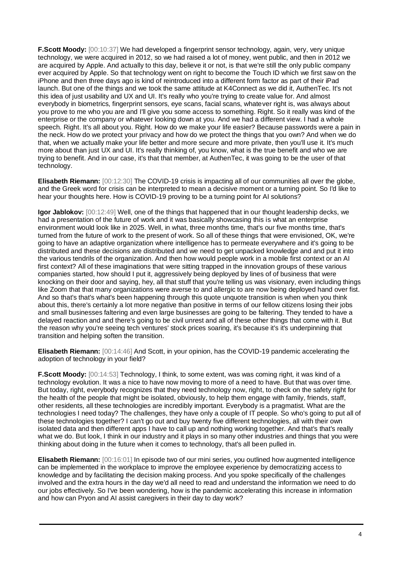**F.Scott Moody:** [00:10:37] We had developed a fingerprint sensor technology, again, very, very unique technology, we were acquired in 2012, so we had raised a lot of money, went public, and then in 2012 we are acquired by Apple. And actually to this day, believe it or not, is that we're still the only public company ever acquired by Apple. So that technology went on right to become the Touch ID which we first saw on the iPhone and then three days ago is kind of reintroduced into a different form factor as part of their iPad launch. But one of the things and we took the same attitude at K4Connect as we did it, AuthenTec. It's not this idea of just usability and UX and UI. It's really who you're trying to create value for. And almost everybody in biometrics, fingerprint sensors, eye scans, facial scans, whatever right is, was always about you prove to me who you are and I'll give you some access to something. Right. So it really was kind of the enterprise or the company or whatever looking down at you. And we had a different view. I had a whole speech. Right. It's all about you. Right. How do we make your life easier? Because passwords were a pain in the neck. How do we protect your privacy and how do we protect the things that you own? And when we do that, when we actually make your life better and more secure and more private, then you'll use it. It's much more about than just UX and UI. It's really thinking of, you know, what is the true benefit and who we are trying to benefit. And in our case, it's that that member, at AuthenTec, it was going to be the user of that technology.

**Elisabeth Riemann:** [00:12:30] The COVID-19 crisis is impacting all of our communities all over the globe, and the Greek word for crisis can be interpreted to mean a decisive moment or a turning point. So I'd like to hear your thoughts here. How is COVID-19 proving to be a turning point for AI solutions?

**Igor Jablokov:** [00:12:49] Well, one of the things that happened that in our thought leadership decks, we had a presentation of the future of work and it was basically showcasing this is what an enterprise environment would look like in 2025. Well, in what, three months time, that's our five months time, that's turned from the future of work to the present of work. So all of these things that were envisioned, OK, we're going to have an adaptive organization where intelligence has to permeate everywhere and it's going to be distributed and these decisions are distributed and we need to get unpacked knowledge and and put it into the various tendrils of the organization. And then how would people work in a mobile first context or an AI first context? All of these imaginations that were sitting trapped in the innovation groups of these various companies started, how should I put it, aggressively being deployed by lines of of business that were knocking on their door and saying, hey, all that stuff that you're telling us was visionary, even including things like Zoom that that many organizations were averse to and allergic to are now being deployed hand over fist. And so that's that's what's been happening through this quote unquote transition is when when you think about this, there's certainly a lot more negative than positive in terms of our fellow citizens losing their jobs and small businesses faltering and even large businesses are going to be faltering. They tended to have a delayed reaction and and there's going to be civil unrest and all of these other things that come with it. But the reason why you're seeing tech ventures' stock prices soaring, it's because it's it's underpinning that transition and helping soften the transition.

**Elisabeth Riemann:** [00:14:46] And Scott, in your opinion, has the COVID-19 pandemic accelerating the adoption of technology in your field?

**F.Scott Moody:** [00:14:53] Technology, I think, to some extent, was was coming right, it was kind of a technology evolution. It was a nice to have now moving to more of a need to have. But that was over time. But today, right, everybody recognizes that they need technology now, right, to check on the safety right for the health of the people that might be isolated, obviously, to help them engage with family, friends, staff, other residents, all these technologies are incredibly important. Everybody is a pragmatist. What are the technologies I need today? The challenges, they have only a couple of IT people. So who's going to put all of these technologies together? I can't go out and buy twenty five different technologies, all with their own isolated data and then different apps I have to call up and nothing working together. And that's that's really what we do. But look, I think in our industry and it plays in so many other industries and things that you were thinking about doing in the future when it comes to technology, that's all been pulled in.

**Elisabeth Riemann:** [00:16:01] In episode two of our mini series, you outlined how augmented intelligence can be implemented in the workplace to improve the employee experience by democratizing access to knowledge and by facilitating the decision making process. And you spoke specifically of the challenges involved and the extra hours in the day we'd all need to read and understand the information we need to do our jobs effectively. So I've been wondering, how is the pandemic accelerating this increase in information and how can Pryon and AI assist caregivers in their day to day work?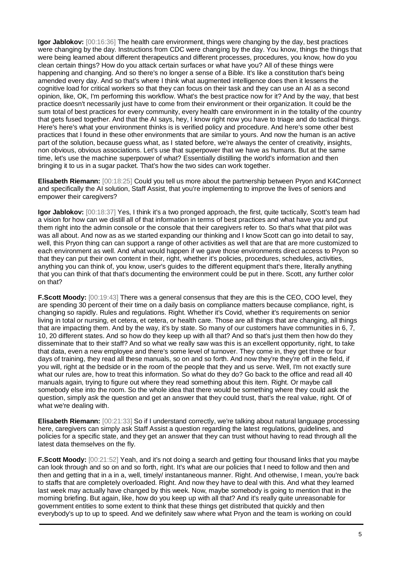**Igor Jablokov:** [00:16:36] The health care environment, things were changing by the day, best practices were changing by the day. Instructions from CDC were changing by the day. You know, things the things that were being learned about different therapeutics and different processes, procedures, you know, how do you clean certain things? How do you attack certain surfaces or what have you? All of these things were happening and changing. And so there's no longer a sense of a Bible. It's like a constitution that's being amended every day. And so that's where I think what augmented intelligence does then it lessens the cognitive load for critical workers so that they can focus on their task and they can use an AI as a second opinion, like, OK, I'm performing this workflow. What's the best practice now for it? And by the way, that best practice doesn't necessarily just have to come from their environment or their organization. It could be the sum total of best practices for every community, every health care environment in in the totality of the country that gets fused together. And that the AI says, hey, I know right now you have to triage and do tactical things. Here's here's what your environment thinks is is verified policy and procedure. And here's some other best practices that I found in these other environments that are similar to yours. And now the human is an active part of the solution, because guess what, as I stated before, we're always the center of creativity, insights, non obvious, obvious associations. Let's use that superpower that we have as humans. But at the same time, let's use the machine superpower of what? Essentially distilling the world's information and then bringing it to us in a sugar packet. That's how the two sides can work together.

**Elisabeth Riemann:** [00:18:25] Could you tell us more about the partnership between Pryon and K4Connect and specifically the AI solution, Staff Assist, that you're implementing to improve the lives of seniors and empower their caregivers?

**Igor Jablokov:** [00:18:37] Yes, I think it's a two pronged approach, the first, quite tactically, Scott's team had a vision for how can we distill all of that information in terms of best practices and what have you and put them right into the admin console or the console that their caregivers refer to. So that's what that pilot was was all about. And now as as we started expanding our thinking and I know Scott can go into detail to say, well, this Pryon thing can can support a range of other activities as well that are that are more customized to each environment as well. And what would happen if we gave those environments direct access to Pryon so that they can put their own content in their, right, whether it's policies, procedures, schedules, activities, anything you can think of, you know, user's guides to the different equipment that's there, literally anything that you can think of that that's documenting the environment could be put in there. Scott, any further color on that?

**F.Scott Moody:**  $[00:19:43]$  There was a general consensus that they are this is the CEO, COO level, they are spending 30 percent of their time on a daily basis on compliance matters because compliance, right, is changing so rapidly. Rules and regulations. Right. Whether it's Covid, whether it's requirements on senior living in total or nursing, et cetera, et cetera, or health care. Those are all things that are changing, all things that are impacting them. And by the way, it's by state. So many of our customers have communities in 6, 7, 10, 20 different states. And so how do they keep up with all that? And so that's just them then how do they disseminate that to their staff? And so what we really saw was this is an excellent opportunity, right, to take that data, even a new employee and there's some level of turnover. They come in, they get three or four days of training, they read all these manuals, so on and so forth. And now they're they're off in the field, if you will, right at the bedside or in the room of the people that they and us serve. Well, I'm not exactly sure what our rules are, how to treat this information. So what do they do? Go back to the office and read all 40 manuals again, trying to figure out where they read something about this item. Right. Or maybe call somebody else into the room. So the whole idea that there would be something where they could ask the question, simply ask the question and get an answer that they could trust, that's the real value, right. Of of what we're dealing with.

**Elisabeth Riemann:** [00:21:33] So if I understand correctly, we're talking about natural language processing here, caregivers can simply ask Staff Assist a question regarding the latest regulations, guidelines, and policies for a specific state, and they get an answer that they can trust without having to read through all the latest data themselves on the fly.

**F.Scott Moody:** [00:21:52] Yeah, and it's not doing a search and getting four thousand links that you maybe can look through and so on and so forth, right. It's what are our policies that I need to follow and then and then and getting that in a in a, well, timely/ instantaneous manner. Right. And otherwise, I mean, you're back to staffs that are completely overloaded. Right. And now they have to deal with this. And what they learned last week may actually have changed by this week. Now, maybe somebody is going to mention that in the morning briefing. But again, like, how do you keep up with all that? And it's really quite unreasonable for government entities to some extent to think that these things get distributed that quickly and then everybody's up to up to speed. And we definitely saw where what Pryon and the team is working on could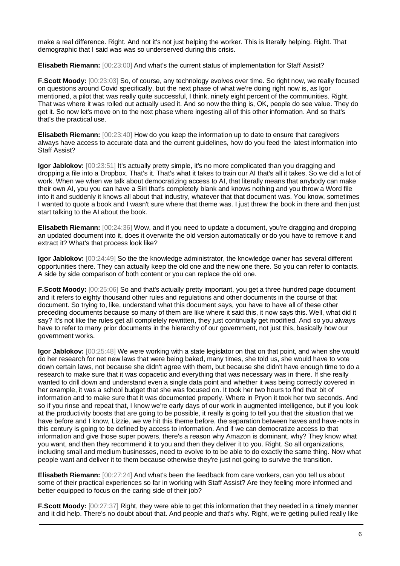make a real difference. Right. And not it's not just helping the worker. This is literally helping. Right. That demographic that I said was was so underserved during this crisis.

**Elisabeth Riemann:** [00:23:00] And what's the current status of implementation for Staff Assist?

**F.Scott Moody:** [00:23:03] So, of course, any technology evolves over time. So right now, we really focused on questions around Covid specifically, but the next phase of what we're doing right now is, as Igor mentioned, a pilot that was really quite successful, I think, ninety eight percent of the communities. Right. That was where it was rolled out actually used it. And so now the thing is, OK, people do see value. They do get it. So now let's move on to the next phase where ingesting all of this other information. And so that's that's the practical use.

**Elisabeth Riemann:** [00:23:40] How do you keep the information up to date to ensure that caregivers always have access to accurate data and the current guidelines, how do you feed the latest information into Staff Assist?

**Igor Jablokov:** [00:23:51] It's actually pretty simple, it's no more complicated than you dragging and dropping a file into a Dropbox. That's it. That's what it takes to train our AI that's all it takes. So we did a lot of work. When we when we talk about democratizing access to AI, that literally means that anybody can make their own AI, you you can have a Siri that's completely blank and knows nothing and you throw a Word file into it and suddenly it knows all about that industry, whatever that that document was. You know, sometimes I wanted to quote a book and I wasn't sure where that theme was. I just threw the book in there and then just start talking to the AI about the book.

**Elisabeth Riemann:** [00:24:36] Wow, and if you need to update a document, you're dragging and dropping an updated document into it, does it overwrite the old version automatically or do you have to remove it and extract it? What's that process look like?

**Igor Jablokov:** [00:24:49] So the the knowledge administrator, the knowledge owner has several different opportunities there. They can actually keep the old one and the new one there. So you can refer to contacts. A side by side comparison of both content or you can replace the old one.

**F.Scott Moody:** [00:25:06] So and that's actually pretty important, you get a three hundred page document and it refers to eighty thousand other rules and regulations and other documents in the course of that document. So trying to, like, understand what this document says, you have to have all of these other preceding documents because so many of them are like where it said this, it now says this. Well, what did it say? It's not like the rules get all completely rewritten, they just continually get modified. And so you always have to refer to many prior documents in the hierarchy of our government, not just this, basically how our government works.

**Igor Jablokov:** [00:25:48] We were working with a state legislator on that on that point, and when she would do her research for net new laws that were being baked, many times, she told us, she would have to vote down certain laws, not because she didn't agree with them, but because she didn't have enough time to do a research to make sure that it was copacetic and everything that was necessary was in there. If she really wanted to drill down and understand even a single data point and whether it was being correctly covered in her example, it was a school budget that she was focused on. It took her two hours to find that bit of information and to make sure that it was documented properly. Where in Pryon it took her two seconds. And so if you rinse and repeat that, I know we're early days of our work in augmented intelligence, but if you look at the productivity boosts that are going to be possible, it really is going to tell you that the situation that we have before and I know, Lizzie, we we hit this theme before, the separation between haves and have-nots in this century is going to be defined by access to information. And if we can democratize access to that information and give those super powers, there's a reason why Amazon is dominant, why? They know what you want, and then they recommend it to you and then they deliver it to you. Right. So all organizations, including small and medium businesses, need to evolve to to be able to do exactly the same thing. Now what people want and deliver it to them because otherwise they're just not going to survive the transition.

**Elisabeth Riemann:** [00:27:24] And what's been the feedback from care workers, can you tell us about some of their practical experiences so far in working with Staff Assist? Are they feeling more informed and better equipped to focus on the caring side of their job?

**F.Scott Moody:** [00:27:37] Right, they were able to get this information that they needed in a timely manner and it did help. There's no doubt about that. And people and that's why. Right, we're getting pulled really like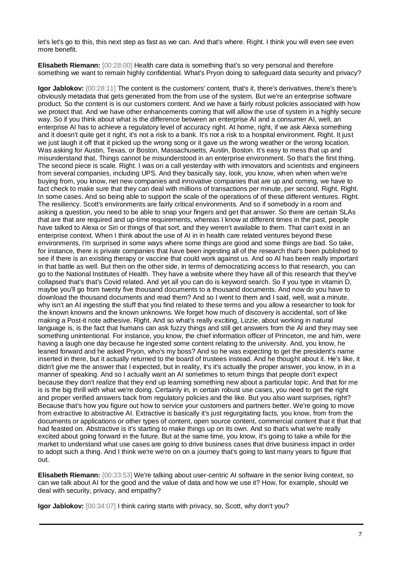let's let's go to this, this next step as fast as we can. And that's where. Right. I think you will even see even more benefit.

**Elisabeth Riemann:** [00:28:00] Health care data is something that's so very personal and therefore something we want to remain highly confidential. What's Pryon doing to safeguard data security and privacy?

**Igor Jablokov:** [00:28:11] The content is the customers' content, that's it, there's derivatives, there's there's obviously metadata that gets generated from the from use of the system. But we're an enterprise software product. So the content is is our customers content. And we have a fairly robust policies associated with how we protect that. And we have other enhancements coming that will allow the use of system in a highly secure way. So if you think about what is the difference between an enterprise AI and a consumer AI, well, an enterprise AI has to achieve a regulatory level of accuracy right. At home, right, if we ask Alexa something and it doesn't quite get it right, it's not a risk to a bank. It's not a risk to a hospital environment. Right. It just we just laugh it off that it picked up the wrong song or it gave us the wrong weather or the wrong location. Was asking for Austin, Texas, or Boston, Massachusetts, Austin, Boston. It's easy to mess that up and misunderstand that. Things cannot be misunderstood in an enterprise environment. So that's the first thing. The second piece is scale. Right. I was on a call yesterday with with innovators and scientists and engineers from several companies, including UPS. And they basically say, look, you know, when when when we're buying from, you know, net new companies and innovative companies that are up and coming, we have to fact check to make sure that they can deal with millions of transactions per minute, per second. Right. Right. In some cases. And so being able to support the scale of the operations of of these different ventures. Right. The resiliency. Scott's environments are fairly critical environments. And so if somebody in a room and asking a question, you need to be able to snap your fingers and get that answer. So there are certain SLAs that are that are required and up-time requirements, whereas I know at different times in the past, people have talked to Alexa or Siri or things of that sort, and they weren't available to them. That can't exist in an enterprise context. When I think about the use of AI in in health care related ventures beyond these environments, I'm surprised in some ways where some things are good and some things are bad. So take, for instance, there is private companies that have been ingesting all of the research that's been published to see if there is an existing therapy or vaccine that could work against us. And so AI has been really important in that battle as well. But then on the other side, in terms of democratizing access to that research, you can go to the National Institutes of Health. They have a website where they have all of this research that they've collapsed that's that's Covid related. And yet all you can do is keyword search. So if you type in vitamin D, maybe you'll go from twenty five thousand documents to a thousand documents. And now do you have to download the thousand documents and read them? And so I went to them and I said, well, wait a minute, why isn't an AI ingesting the stuff that you find related to these terms and you allow a researcher to look for the known knowns and the known unknowns. We forget how much of discovery is accidental, sort of like making a Post-it note adhesive. Right. And so what's really exciting, Lizzie, about working in natural language is, is the fact that humans can ask fuzzy things and still get answers from the AI and they may see something unintentional. For instance, you know, the chief information officer of Princeton, me and him, were having a laugh one day because he ingested some content relating to the university. And, you know, he leaned forward and he asked Pryon, who's my boss? And so he was expecting to get the president's name inserted in there, but it actually returned to the board of trustees instead. And he thought about it. He's like, it didn't give me the answer that I expected, but in reality, it's it's actually the proper answer, you know, in in a manner of speaking. And so I actually want an AI sometimes to return things that people don't expect because they don't realize that they end up learning something new about a particular topic. And that for me is is the big thrill with what we're doing. Certainly in, in certain robust use cases, you need to get the right and proper verified answers back from regulatory policies and the like. But you also want surprises, right? Because that's how you figure out how to service your customers and partners better. We're going to move from extractive to abstractive AI. Extractive is basically it's just regurgitating facts, you know, from from the documents or applications or other types of content, open source content, commercial content that it that that had feasted on. Abstractive is it's starting to make things up on its own. And so that's what we're really excited about going forward in the future. But at the same time, you know, it's going to take a while for the market to understand what use cases are going to drive business cases that drive business impact in order to adopt such a thing. And I think we're we're on on a journey that's going to last many years to figure that out.

**Elisabeth Riemann:** [00:33:53] We're talking about user-centric AI software in the senior living context, so can we talk about AI for the good and the value of data and how we use it? How, for example, should we deal with security, privacy, and empathy?

**Igor Jablokov:** [00:34:07] I think caring starts with privacy, so, Scott, why don't you?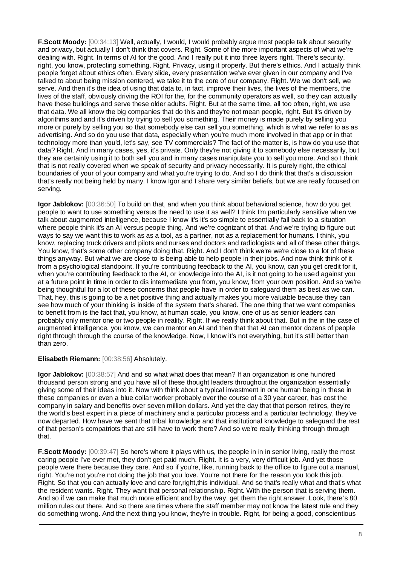**F.Scott Moody:** [00:34:13] Well, actually, I would, I would probably argue most people talk about security and privacy, but actually I don't think that covers. Right. Some of the more important aspects of what we're dealing with. Right. In terms of AI for the good. And I really put it into three layers right. There's security, right, you know, protecting something. Right. Privacy, using it properly. But there's ethics. And I actually think people forget about ethics often. Every slide, every presentation we've ever given in our company and I've talked to about being mission centered, we take it to the core of our company. Right. We we don't sell, we serve. And then it's the idea of using that data to, in fact, improve their lives, the lives of the members, the lives of the staff, obviously driving the ROI for the, for the community operators as well, so they can actually have these buildings and serve these older adults. Right. But at the same time, all too often, right, we use that data. We all know the big companies that do this and they're not mean people, right. But it's driven by algorithms and and it's driven by trying to sell you something. Their money is made purely by selling you more or purely by selling you so that somebody else can sell you something, which is what we refer to as as advertising. And so do you use that data, especially when you're much more involved in that app or in that technology more than you'd, let's say, see TV commercials? The fact of the matter is, is how do you use that data? Right. And in many cases, yes, it's private. Only they're not giving it to somebody else necessarily, but they are certainly using it to both sell you and in many cases manipulate you to sell you more. And so I think that is not really covered when we speak of security and privacy necessarily. It is purely right, the ethical boundaries of your of your company and what you're trying to do. And so I do think that that's a discussion that's really not being held by many. I know Igor and I share very similar beliefs, but we are really focused on serving.

**Igor Jablokov:** [00:36:50] To build on that, and when you think about behavioral science, how do you get people to want to use something versus the need to use it as well? I think I'm particularly sensitive when we talk about augmented intelligence, because I know it's it's so simple to essentially fall back to a situation where people think it's an AI versus people thing. And we're cognizant of that. And we're trying to figure out ways to say we want this to work as as a tool, as a partner, not as a replacement for humans. I think, you know, replacing truck drivers and pilots and nurses and doctors and radiologists and all of these other things. You know, that's some other company doing that. Right. And I don't think we're we're close to a lot of these things anyway. But what we are close to is being able to help people in their jobs. And now think think of it from a psychological standpoint. If you're contributing feedback to the AI, you know, can you get credit for it, when you're contributing feedback to the AI, or knowledge into the AI, is it not going to be used against you at a future point in time in order to dis intermediate you from, you know, from your own position. And so we're being thoughtful for a lot of these concerns that people have in order to safeguard them as best as we can. That, hey, this is going to be a net positive thing and actually makes you more valuable because they can see how much of your thinking is inside of the system that's shared. The one thing that we want companies to benefit from is the fact that, you know, at human scale, you know, one of us as senior leaders can probably only mentor one or two people in reality. Right. If we really think about that. But in the in the case of augmented intelligence, you know, we can mentor an AI and then that that AI can mentor dozens of people right through through the course of the knowledge. Now, I know it's not everything, but it's still better than than zero.

### **Elisabeth Riemann:** [00:38:56] Absolutely.

**Igor Jablokov:** [00:38:57] And and so what what does that mean? If an organization is one hundred thousand person strong and you have all of these thought leaders throughout the organization essentially giving some of their ideas into it. Now with think about a typical investment in one human being in these in these companies or even a blue collar worker probably over the course of a 30 year career, has cost the company in salary and benefits over seven million dollars. And yet the day that that person retires, they're the world's best expert in a piece of machinery and a particular process and a particular technology, they've now departed. How have we sent that tribal knowledge and that institutional knowledge to safeguard the rest of that person's compatriots that are still have to work there? And so we're really thinking through through that.

**F.Scott Moody:** [00:39:47] So here's where it plays with us, the people in in in senior living, really the most caring people I've ever met, they don't get paid much. Right. It is a very, very difficult job. And yet those people were there because they care. And so if you're, like, running back to the office to figure out a manual, right. You're not you're not doing the job that you love. You're not there for the reason you took this job. Right. So that you can actually love and care for,right,this individual. And so that's really what and that's what the resident wants. Right. They want that personal relationship. Right. With the person that is serving them. And so if we can make that much more efficient and by the way, get them the right answer. Look, there's 80 million rules out there. And so there are times where the staff member may not know the latest rule and they do something wrong. And the next thing you know, they're in trouble. Right, for being a good, conscientious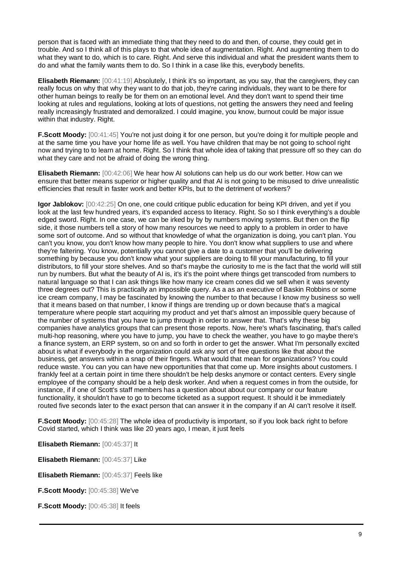person that is faced with an immediate thing that they need to do and then, of course, they could get in trouble. And so I think all of this plays to that whole idea of augmentation. Right. And augmenting them to do what they want to do, which is to care. Right. And serve this individual and what the president wants them to do and what the family wants them to do. So I think in a case like this, everybody benefits.

**Elisabeth Riemann:** [00:41:19] Absolutely, I think it's so important, as you say, that the caregivers, they can really focus on why that why they want to do that job, they're caring individuals, they want to be there for other human beings to really be for them on an emotional level. And they don't want to spend their time looking at rules and regulations, looking at lots of questions, not getting the answers they need and feeling really increasingly frustrated and demoralized. I could imagine, you know, burnout could be major issue within that industry. Right.

**F.Scott Moody:** [00:41:45] You're not just doing it for one person, but you're doing it for multiple people and at the same time you have your home life as well. You have children that may be not going to school right now and trying to to learn at home. Right. So I think that whole idea of taking that pressure off so they can do what they care and not be afraid of doing the wrong thing.

**Elisabeth Riemann:** [00:42:06] We hear how AI solutions can help us do our work better. How can we ensure that better means superior or higher quality and that AI is not going to be misused to drive unrealistic efficiencies that result in faster work and better KPIs, but to the detriment of workers?

**Igor Jablokov:** [00:42:25] On one, one could critique public education for being KPI driven, and yet if you look at the last few hundred years, it's expanded access to literacy. Right. So so I think everything's a double edged sword. Right. In one case, we can be irked by by by numbers moving systems. But then on the flip side, it those numbers tell a story of how many resources we need to apply to a problem in order to have some sort of outcome. And so without that knowledge of what the organization is doing, you can't plan. You can't you know, you don't know how many people to hire. You don't know what suppliers to use and where they're faltering. You know, potentially you cannot give a date to a customer that you'll be delivering something by because you don't know what your suppliers are doing to fill your manufacturing, to fill your distributors, to fill your store shelves. And so that's maybe the curiosity to me is the fact that the world will still run by numbers. But what the beauty of AI is, it's it's the point where things get transcoded from numbers to natural language so that I can ask things like how many ice cream cones did we sell when it was seventy three degrees out? This is practically an impossible query. As a as an executive of Baskin Robbins or some ice cream company, I may be fascinated by knowing the number to that because I know my business so well that it means based on that number, I know if things are trending up or down because that's a magical temperature where people start acquiring my product and yet that's almost an impossible query because of the number of systems that you have to jump through in order to answer that. That's why these big companies have analytics groups that can present those reports. Now, here's what's fascinating, that's called multi-hop reasoning, where you have to jump, you have to check the weather, you have to go maybe there's a finance system, an ERP system, so on and so forth in order to get the answer. What I'm personally excited about is what if everybody in the organization could ask any sort of free questions like that about the business, get answers within a snap of their fingers. What would that mean for organizations? You could reduce waste. You can you can have new opportunities that that come up. More insights about customers. I frankly feel at a certain point in time there shouldn't be help desks anymore or contact centers. Every single employee of the company should be a help desk worker. And when a request comes in from the outside, for instance, if if one of Scott's staff members has a question about about our company or our feature functionality, it shouldn't have to go to become ticketed as a support request. It should it be immediately routed five seconds later to the exact person that can answer it in the company if an AI can't resolve it itself.

**F.Scott Moody:** [00:45:28] The whole idea of productivity is important, so if you look back right to before Covid started, which I think was like 20 years ago, I mean, it just feels

**Elisabeth Riemann:** [00:45:37] It

**Elisabeth Riemann:** [00:45:37] Like

**Elisabeth Riemann:** [00:45:37] Feels like

**F.Scott Moody:** [00:45:38] We've

**F.Scott Moody:** [00:45:38] It feels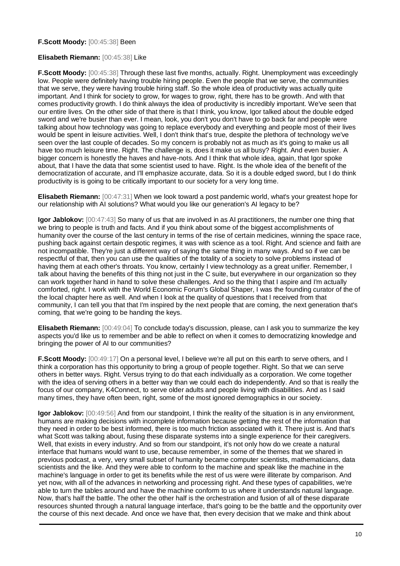#### **F.Scott Moody:** [00:45:38] Been

#### **Elisabeth Riemann:** [00:45:38] Like

**F.Scott Moody:** [00:45:38] Through these last five months, actually. Right. Unemployment was exceedingly low. People were definitely having trouble hiring people. Even the people that we serve, the communities that we serve, they were having trouble hiring staff. So the whole idea of productivity was actually quite important. And I think for society to grow, for wages to grow, right, there has to be growth. And with that comes productivity growth. I do think always the idea of productivity is incredibly important. We've seen that our entire lives. On the other side of that there is that I think, you know, Igor talked about the double edged sword and we're busier than ever. I mean, look, you don't you don't have to go back far and people were talking about how technology was going to replace everybody and everything and people most of their lives would be spent in leisure activities. Well, I don't think that's true, despite the plethora of technology we've seen over the last couple of decades. So my concern is probably not as much as it's going to make us all have too much leisure time. Right. The challenge is, does it make us all busy? Right. And even busier. A bigger concern is honestly the haves and have-nots. And I think that whole idea, again, that Igor spoke about, that I have the data that some scientist used to have. Right. Is the whole idea of the benefit of the democratization of accurate, and I'll emphasize accurate, data. So it is a double edged sword, but I do think productivity is is going to be critically important to our society for a very long time.

**Elisabeth Riemann:** [00:47:31] When we look toward a post pandemic world, what's your greatest hope for our relationship with AI solutions? What would you like our generation's AI legacy to be?

**Igor Jablokov:**  $[00:47:43]$  So many of us that are involved in as AI practitioners, the number one thing that we bring to people is truth and facts. And if you think about some of the biggest accomplishments of humanity over the course of the last century in terms of the rise of certain medicines, winning the space race, pushing back against certain despotic regimes, it was with science as a tool. Right. And science and faith are not incompatible. They're just a different way of saying the same thing in many ways. And so if we can be respectful of that, then you can use the qualities of the totality of a society to solve problems instead of having them at each other's throats. You know, certainly I view technology as a great unifier. Remember, I talk about having the benefits of this thing not just in the C suite, but everywhere in our organization so they can work together hand in hand to solve these challenges. And so the thing that I aspire and I'm actually comforted, right. I work with the World Economic Forum's Global Shaper, I was the founding curator of the of the local chapter here as well. And when I look at the quality of questions that I received from that community, I can tell you that that I'm inspired by the next people that are coming, the next generation that's coming, that we're going to be handing the keys.

**Elisabeth Riemann:** [00:49:04] To conclude today's discussion, please, can I ask you to summarize the key aspects you'd like us to remember and be able to reflect on when it comes to democratizing knowledge and bringing the power of AI to our communities?

**F.Scott Moody:** [00:49:17] On a personal level, I believe we're all put on this earth to serve others, and I think a corporation has this opportunity to bring a group of people together. Right. So that we can serve others in better ways. Right. Versus trying to do that each individually as a corporation. We come together with the idea of serving others in a better way than we could each do independently. And so that is really the focus of our company, K4Connect, to serve older adults and people living with disabilities. And as I said many times, they have often been, right, some of the most ignored demographics in our society.

**Igor Jablokov:** [00:49:56] And from our standpoint, I think the reality of the situation is in any environment, humans are making decisions with incomplete information because getting the rest of the information that they need in order to be best informed, there is too much friction associated with it. There just is. And that's what Scott was talking about, fusing these disparate systems into a single experience for their caregivers. Well, that exists in every industry. And so from our standpoint, it's not only how do we create a natural interface that humans would want to use, because remember, in some of the themes that we shared in previous podcast, a very, very small subset of humanity became computer scientists, mathematicians, data scientists and the like. And they were able to conform to the machine and speak like the machine in the machine's language in order to get its benefits while the rest of us were were illiterate by comparison. And yet now, with all of the advances in networking and processing right. And these types of capabilities, we're able to turn the tables around and have the machine conform to us where it understands natural language. Now, that's half the battle. The other the other half is the orchestration and fusion of all of these disparate resources shunted through a natural language interface, that's going to be the battle and the opportunity over the course of this next decade. And once we have that, then every decision that we make and think about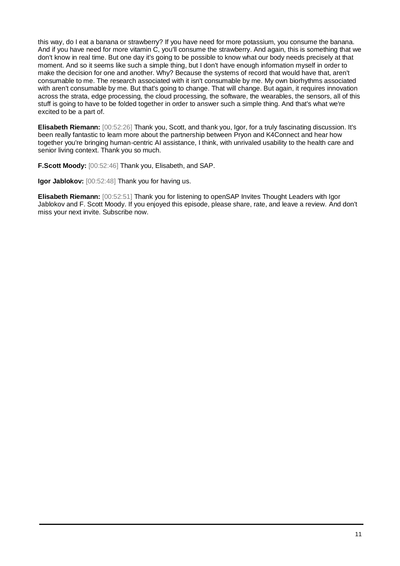this way, do I eat a banana or strawberry? If you have need for more potassium, you consume the banana. And if you have need for more vitamin C, you'll consume the strawberry. And again, this is something that we don't know in real time. But one day it's going to be possible to know what our body needs precisely at that moment. And so it seems like such a simple thing, but I don't have enough information myself in order to make the decision for one and another. Why? Because the systems of record that would have that, aren't consumable to me. The research associated with it isn't consumable by me. My own biorhythms associated with aren't consumable by me. But that's going to change. That will change. But again, it requires innovation across the strata, edge processing, the cloud processing, the software, the wearables, the sensors, all of this stuff is going to have to be folded together in order to answer such a simple thing. And that's what we're excited to be a part of.

**Elisabeth Riemann:** [00:52:26] Thank you, Scott, and thank you, Igor, for a truly fascinating discussion. It's been really fantastic to learn more about the partnership between Pryon and K4Connect and hear how together you're bringing human-centric AI assistance, I think, with unrivaled usability to the health care and senior living context. Thank you so much.

**F.Scott Moody:** [00:52:46] Thank you, Elisabeth, and SAP.

**Igor Jablokov:** [00:52:48] Thank you for having us.

**Elisabeth Riemann:** [00:52:51] Thank you for listening to openSAP Invites Thought Leaders with Igor Jablokov and F. Scott Moody. If you enjoyed this episode, please share, rate, and leave a review. And don't miss your next invite. Subscribe now.